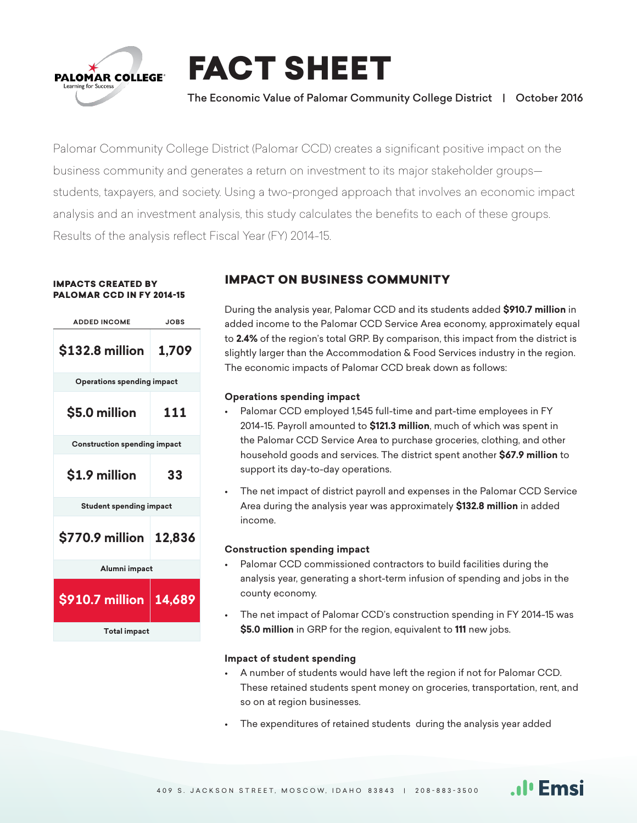

FACT SHEET

## The Economic Value of Palomar Community College District | October 2016

Palomar Community College District (Palomar CCD) creates a significant positive impact on the business community and generates a return on investment to its major stakeholder groups students, taxpayers, and society. Using a two-pronged approach that involves an economic impact analysis and an investment analysis, this study calculates the benefits to each of these groups. Results of the analysis reflect Fiscal Year (FY) 2014-15.

#### IMPACTS CREATED BY PALOMAR CCD IN FY 2014-15



## IMPACT ON BUSINESS COMMUNITY

During the analysis year, Palomar CCD and its students added **\$910.7 million** in added income to the Palomar CCD Service Area economy, approximately equal to **2.4%** of the region's total GRP. By comparison, this impact from the district is slightly larger than the Accommodation & Food Services industry in the region. The economic impacts of Palomar CCD break down as follows:

## **Operations spending impact**

- Palomar CCD employed 1,545 full-time and part-time employees in FY 2014-15. Payroll amounted to **\$121.3 million**, much of which was spent in the Palomar CCD Service Area to purchase groceries, clothing, and other household goods and services. The district spent another **\$67.9 million** to support its day-to-day operations.
- The net impact of district payroll and expenses in the Palomar CCD Service Area during the analysis year was approximately **\$132.8 million** in added income.

## **Construction spending impact**

- Palomar CCD commissioned contractors to build facilities during the analysis year, generating a short-term infusion of spending and jobs in the county economy.
- The net impact of Palomar CCD's construction spending in FY 2014-15 was **\$5.0 million** in GRP for the region, equivalent to **111** new jobs.

### **Impact of student spending**

• A number of students would have left the region if not for Palomar CCD. These retained students spent money on groceries, transportation, rent, and so on at region businesses.

.ıl⊑Emsi

• The expenditures of retained students during the analysis year added